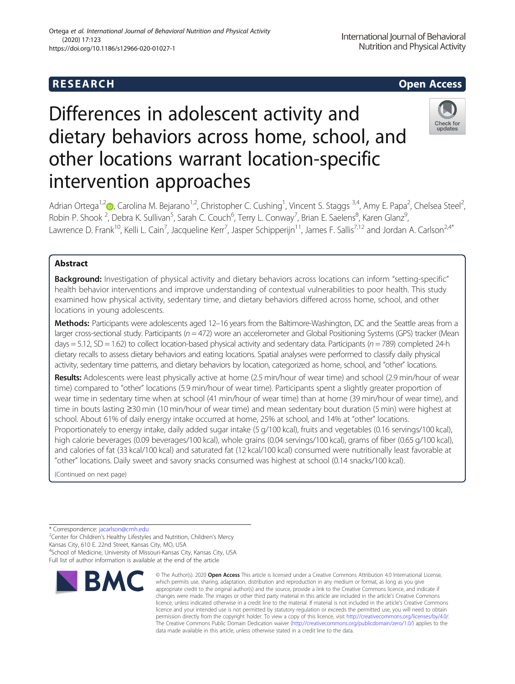# Differences in adolescent activity and dietary behaviors across home, school, and other locations warrant location-specific intervention approaches



Adrian Ortega<sup>1[,](http://orcid.org/0000-0003-1003-2156)2</sup> (D, Carolina M. Bejarano<sup>1,2</sup>, Christopher C. Cushing<sup>1</sup>, Vincent S. Staggs <sup>3,4</sup>, Amy E. Papa<sup>2</sup>, Chelsea Steel<sup>2</sup> , Robin P. Shook <sup>2</sup>, Debra K. Sullivan<sup>5</sup>, Sarah C. Couch<sup>6</sup>, Terry L. Conway<sup>7</sup>, Brian E. Saelens<sup>8</sup>, Karen Glanz<sup>9</sup> , Lawrence D. Frank<sup>10</sup>, Kelli L. Cain<sup>7</sup>, Jacqueline Kerr<sup>7</sup>, Jasper Schipperijn<sup>11</sup>, James F. Sallis<sup>7,12</sup> and Jordan A. Carlson<sup>2,4\*</sup>

# Abstract

Background: Investigation of physical activity and dietary behaviors across locations can inform "setting-specific" health behavior interventions and improve understanding of contextual vulnerabilities to poor health. This study examined how physical activity, sedentary time, and dietary behaviors differed across home, school, and other locations in young adolescents.

Methods: Participants were adolescents aged 12–16 years from the Baltimore-Washington, DC and the Seattle areas from a larger cross-sectional study. Participants (n = 472) wore an accelerometer and Global Positioning Systems (GPS) tracker (Mean days = 5.12, SD = 1.62) to collect location-based physical activity and sedentary data. Participants ( $n = 789$ ) completed 24-h dietary recalls to assess dietary behaviors and eating locations. Spatial analyses were performed to classify daily physical activity, sedentary time patterns, and dietary behaviors by location, categorized as home, school, and "other" locations.

Results: Adolescents were least physically active at home (2.5 min/hour of wear time) and school (2.9 min/hour of wear time) compared to "other" locations (5.9 min/hour of wear time). Participants spent a slightly greater proportion of wear time in sedentary time when at school (41 min/hour of wear time) than at home (39 min/hour of wear time), and time in bouts lasting ≥30 min (10 min/hour of wear time) and mean sedentary bout duration (5 min) were highest at school. About 61% of daily energy intake occurred at home, 25% at school, and 14% at "other" locations. Proportionately to energy intake, daily added sugar intake (5 g/100 kcal), fruits and vegetables (0.16 servings/100 kcal), high calorie beverages (0.09 beverages/100 kcal), whole grains (0.04 servings/100 kcal), grams of fiber (0.65 g/100 kcal), and calories of fat (33 kcal/100 kcal) and saturated fat (12 kcal/100 kcal) consumed were nutritionally least favorable at "other" locations. Daily sweet and savory snacks consumed was highest at school (0.14 snacks/100 kcal).

(Continued on next page)

\* Correspondence: [jacarlson@cmh.edu](mailto:jacarlson@cmh.edu)<br><sup>2</sup>Center for Children's Healthy Lifestyles and Nutrition, Children's Mercy

Kansas City, 610 E. 22nd Street, Kansas City, MO, USA 4 School of Medicine, University of Missouri-Kansas City, Kansas City, USA Full list of author information is available at the end of the article



<sup>©</sup> The Author(s), 2020 **Open Access** This article is licensed under a Creative Commons Attribution 4.0 International License, which permits use, sharing, adaptation, distribution and reproduction in any medium or format, as long as you give appropriate credit to the original author(s) and the source, provide a link to the Creative Commons licence, and indicate if changes were made. The images or other third party material in this article are included in the article's Creative Commons licence, unless indicated otherwise in a credit line to the material. If material is not included in the article's Creative Commons licence and your intended use is not permitted by statutory regulation or exceeds the permitted use, you will need to obtain permission directly from the copyright holder. To view a copy of this licence, visit [http://creativecommons.org/licenses/by/4.0/.](http://creativecommons.org/licenses/by/4.0/) The Creative Commons Public Domain Dedication waiver [\(http://creativecommons.org/publicdomain/zero/1.0/](http://creativecommons.org/publicdomain/zero/1.0/)) applies to the data made available in this article, unless otherwise stated in a credit line to the data.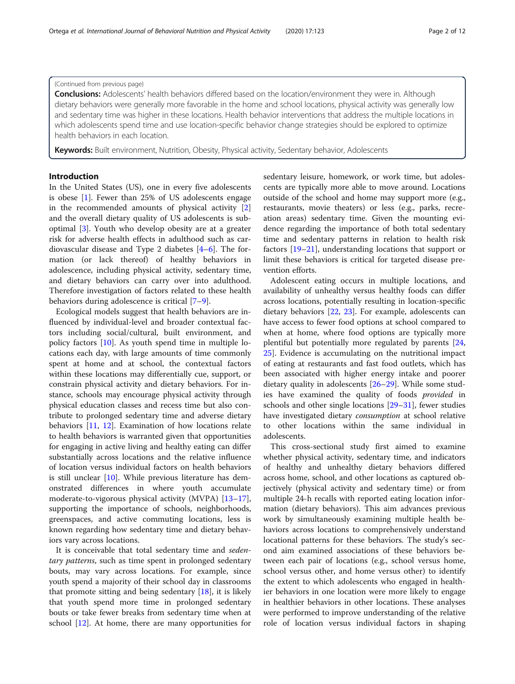# (Continued from previous page)

**Conclusions:** Adolescents' health behaviors differed based on the location/environment they were in. Although dietary behaviors were generally more favorable in the home and school locations, physical activity was generally low and sedentary time was higher in these locations. Health behavior interventions that address the multiple locations in which adolescents spend time and use location-specific behavior change strategies should be explored to optimize health behaviors in each location.

Keywords: Built environment, Nutrition, Obesity, Physical activity, Sedentary behavior, Adolescents

# Introduction

In the United States (US), one in every five adolescents is obese [\[1](#page-9-0)]. Fewer than 25% of US adolescents engage in the recommended amounts of physical activity [\[2](#page-9-0)] and the overall dietary quality of US adolescents is suboptimal [[3\]](#page-9-0). Youth who develop obesity are at a greater risk for adverse health effects in adulthood such as cardiovascular disease and Type 2 diabetes [\[4](#page-9-0)–[6](#page-9-0)]. The formation (or lack thereof) of healthy behaviors in adolescence, including physical activity, sedentary time, and dietary behaviors can carry over into adulthood. Therefore investigation of factors related to these health behaviors during adolescence is critical [[7](#page-9-0)–[9\]](#page-9-0).

Ecological models suggest that health behaviors are influenced by individual-level and broader contextual factors including social/cultural, built environment, and policy factors [\[10\]](#page-9-0). As youth spend time in multiple locations each day, with large amounts of time commonly spent at home and at school, the contextual factors within these locations may differentially cue, support, or constrain physical activity and dietary behaviors. For instance, schools may encourage physical activity through physical education classes and recess time but also contribute to prolonged sedentary time and adverse dietary behaviors [[11,](#page-9-0) [12\]](#page-9-0). Examination of how locations relate to health behaviors is warranted given that opportunities for engaging in active living and healthy eating can differ substantially across locations and the relative influence of location versus individual factors on health behaviors is still unclear [\[10](#page-9-0)]. While previous literature has demonstrated differences in where youth accumulate moderate-to-vigorous physical activity (MVPA) [[13](#page-9-0)–[17](#page-10-0)], supporting the importance of schools, neighborhoods, greenspaces, and active commuting locations, less is known regarding how sedentary time and dietary behaviors vary across locations.

It is conceivable that total sedentary time and sedentary patterns, such as time spent in prolonged sedentary bouts, may vary across locations. For example, since youth spend a majority of their school day in classrooms that promote sitting and being sedentary  $[18]$ , it is likely that youth spend more time in prolonged sedentary bouts or take fewer breaks from sedentary time when at school [\[12\]](#page-9-0). At home, there are many opportunities for sedentary leisure, homework, or work time, but adolescents are typically more able to move around. Locations outside of the school and home may support more (e.g., restaurants, movie theaters) or less (e.g., parks, recreation areas) sedentary time. Given the mounting evidence regarding the importance of both total sedentary time and sedentary patterns in relation to health risk factors [[19](#page-10-0)–[21](#page-10-0)], understanding locations that support or limit these behaviors is critical for targeted disease prevention efforts.

Adolescent eating occurs in multiple locations, and availability of unhealthy versus healthy foods can differ across locations, potentially resulting in location-specific dietary behaviors [[22,](#page-10-0) [23\]](#page-10-0). For example, adolescents can have access to fewer food options at school compared to when at home, where food options are typically more plentiful but potentially more regulated by parents [[24](#page-10-0), [25\]](#page-10-0). Evidence is accumulating on the nutritional impact of eating at restaurants and fast food outlets, which has been associated with higher energy intake and poorer dietary quality in adolescents [[26](#page-10-0)–[29](#page-10-0)]. While some studies have examined the quality of foods provided in schools and other single locations [[29](#page-10-0)–[31](#page-10-0)], fewer studies have investigated dietary consumption at school relative to other locations within the same individual in adolescents.

This cross-sectional study first aimed to examine whether physical activity, sedentary time, and indicators of healthy and unhealthy dietary behaviors differed across home, school, and other locations as captured objectively (physical activity and sedentary time) or from multiple 24-h recalls with reported eating location information (dietary behaviors). This aim advances previous work by simultaneously examining multiple health behaviors across locations to comprehensively understand locational patterns for these behaviors. The study's second aim examined associations of these behaviors between each pair of locations (e.g., school versus home, school versus other, and home versus other) to identify the extent to which adolescents who engaged in healthier behaviors in one location were more likely to engage in healthier behaviors in other locations. These analyses were performed to improve understanding of the relative role of location versus individual factors in shaping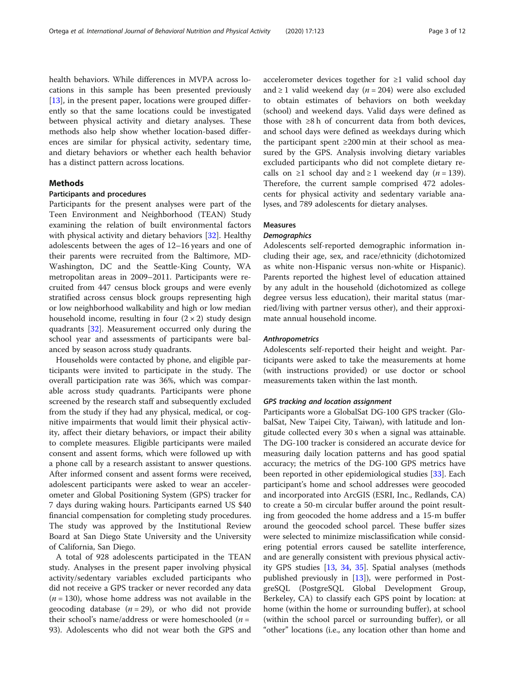health behaviors. While differences in MVPA across locations in this sample has been presented previously [[13\]](#page-9-0), in the present paper, locations were grouped differently so that the same locations could be investigated between physical activity and dietary analyses. These methods also help show whether location-based differences are similar for physical activity, sedentary time, and dietary behaviors or whether each health behavior has a distinct pattern across locations.

# Methods

# Participants and procedures

Participants for the present analyses were part of the Teen Environment and Neighborhood (TEAN) Study examining the relation of built environmental factors with physical activity and dietary behaviors [\[32](#page-10-0)]. Healthy adolescents between the ages of 12–16 years and one of their parents were recruited from the Baltimore, MD-Washington, DC and the Seattle-King County, WA metropolitan areas in 2009–2011. Participants were recruited from 447 census block groups and were evenly stratified across census block groups representing high or low neighborhood walkability and high or low median household income, resulting in four  $(2 \times 2)$  study design quadrants [[32](#page-10-0)]. Measurement occurred only during the school year and assessments of participants were balanced by season across study quadrants.

Households were contacted by phone, and eligible participants were invited to participate in the study. The overall participation rate was 36%, which was comparable across study quadrants. Participants were phone screened by the research staff and subsequently excluded from the study if they had any physical, medical, or cognitive impairments that would limit their physical activity, affect their dietary behaviors, or impact their ability to complete measures. Eligible participants were mailed consent and assent forms, which were followed up with a phone call by a research assistant to answer questions. After informed consent and assent forms were received, adolescent participants were asked to wear an accelerometer and Global Positioning System (GPS) tracker for 7 days during waking hours. Participants earned US \$40 financial compensation for completing study procedures. The study was approved by the Institutional Review Board at San Diego State University and the University of California, San Diego.

A total of 928 adolescents participated in the TEAN study. Analyses in the present paper involving physical activity/sedentary variables excluded participants who did not receive a GPS tracker or never recorded any data  $(n = 130)$ , whose home address was not available in the geocoding database  $(n = 29)$ , or who did not provide their school's name/address or were homeschooled  $(n =$ 93). Adolescents who did not wear both the GPS and accelerometer devices together for ≥1 valid school day and ≥ 1 valid weekend day ( $n = 204$ ) were also excluded to obtain estimates of behaviors on both weekday (school) and weekend days. Valid days were defined as those with ≥8 h of concurrent data from both devices, and school days were defined as weekdays during which the participant spent ≥200 min at their school as measured by the GPS. Analysis involving dietary variables excluded participants who did not complete dietary recalls on  $\geq 1$  school day and  $\geq 1$  weekend day (*n* = 139). Therefore, the current sample comprised 472 adolescents for physical activity and sedentary variable analyses, and 789 adolescents for dietary analyses.

# Measures

# **Demographics**

Adolescents self-reported demographic information including their age, sex, and race/ethnicity (dichotomized as white non-Hispanic versus non-white or Hispanic). Parents reported the highest level of education attained by any adult in the household (dichotomized as college degree versus less education), their marital status (married/living with partner versus other), and their approximate annual household income.

# Anthropometrics

Adolescents self-reported their height and weight. Participants were asked to take the measurements at home (with instructions provided) or use doctor or school measurements taken within the last month.

#### GPS tracking and location assignment

Participants wore a GlobalSat DG-100 GPS tracker (GlobalSat, New Taipei City, Taiwan), with latitude and longitude collected every 30 s when a signal was attainable. The DG-100 tracker is considered an accurate device for measuring daily location patterns and has good spatial accuracy; the metrics of the DG-100 GPS metrics have been reported in other epidemiological studies [[33\]](#page-10-0). Each participant's home and school addresses were geocoded and incorporated into ArcGIS (ESRI, Inc., Redlands, CA) to create a 50-m circular buffer around the point resulting from geocoded the home address and a 15-m buffer around the geocoded school parcel. These buffer sizes were selected to minimize misclassification while considering potential errors caused be satellite interference, and are generally consistent with previous physical activity GPS studies [[13,](#page-9-0) [34](#page-10-0), [35\]](#page-10-0). Spatial analyses (methods published previously in [[13](#page-9-0)]), were performed in PostgreSQL (PostgreSQL Global Development Group, Berkeley, CA) to classify each GPS point by location: at home (within the home or surrounding buffer), at school (within the school parcel or surrounding buffer), or all "other" locations (i.e., any location other than home and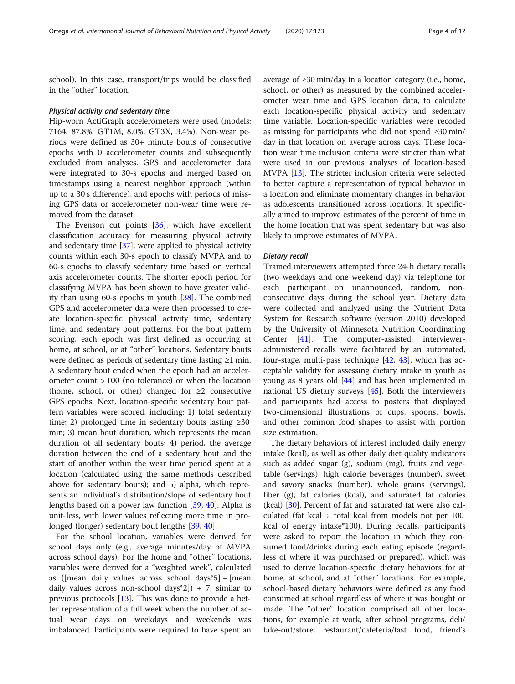school). In this case, transport/trips would be classified in the "other" location.

#### Physical activity and sedentary time

Hip-worn ActiGraph accelerometers were used (models: 7164, 87.8%; GT1M, 8.0%; GT3X, 3.4%). Non-wear periods were defined as 30+ minute bouts of consecutive epochs with 0 accelerometer counts and subsequently excluded from analyses. GPS and accelerometer data were integrated to 30-s epochs and merged based on timestamps using a nearest neighbor approach (within up to a 30 s difference), and epochs with periods of missing GPS data or accelerometer non-wear time were removed from the dataset.

The Evenson cut points [\[36](#page-10-0)], which have excellent classification accuracy for measuring physical activity and sedentary time [\[37](#page-10-0)], were applied to physical activity counts within each 30-s epoch to classify MVPA and to 60-s epochs to classify sedentary time based on vertical axis accelerometer counts. The shorter epoch period for classifying MVPA has been shown to have greater validity than using 60-s epochs in youth [[38](#page-10-0)]. The combined GPS and accelerometer data were then processed to create location-specific physical activity time, sedentary time, and sedentary bout patterns. For the bout pattern scoring, each epoch was first defined as occurring at home, at school, or at "other" locations. Sedentary bouts were defined as periods of sedentary time lasting ≥1 min. A sedentary bout ended when the epoch had an accelerometer count > 100 (no tolerance) or when the location (home, school, or other) changed for  $\geq 2$  consecutive GPS epochs. Next, location-specific sedentary bout pattern variables were scored, including: 1) total sedentary time; 2) prolonged time in sedentary bouts lasting  $\geq 30$ min; 3) mean bout duration, which represents the mean duration of all sedentary bouts; 4) period, the average duration between the end of a sedentary bout and the start of another within the wear time period spent at a location (calculated using the same methods described above for sedentary bouts); and 5) alpha, which represents an individual's distribution/slope of sedentary bout lengths based on a power law function [[39,](#page-10-0) [40\]](#page-10-0). Alpha is unit-less, with lower values reflecting more time in prolonged (longer) sedentary bout lengths [\[39,](#page-10-0) [40\]](#page-10-0).

For the school location, variables were derived for school days only (e.g., average minutes/day of MVPA across school days). For the home and "other" locations, variables were derived for a "weighted week", calculated as ([mean daily values across school days\*5] + [mean daily values across non-school days\*2])  $\div$  7, similar to previous protocols [\[13](#page-9-0)]. This was done to provide a better representation of a full week when the number of actual wear days on weekdays and weekends was imbalanced. Participants were required to have spent an average of ≥30 min/day in a location category (i.e., home, school, or other) as measured by the combined accelerometer wear time and GPS location data, to calculate each location-specific physical activity and sedentary time variable. Location-specific variables were recoded as missing for participants who did not spend ≥30 min/ day in that location on average across days. These location wear time inclusion criteria were stricter than what were used in our previous analyses of location-based MVPA [[13\]](#page-9-0). The stricter inclusion criteria were selected to better capture a representation of typical behavior in a location and eliminate momentary changes in behavior as adolescents transitioned across locations. It specifically aimed to improve estimates of the percent of time in the home location that was spent sedentary but was also likely to improve estimates of MVPA.

#### Dietary recall

Trained interviewers attempted three 24-h dietary recalls (two weekdays and one weekend day) via telephone for each participant on unannounced, random, nonconsecutive days during the school year. Dietary data were collected and analyzed using the Nutrient Data System for Research software (version 2010) developed by the University of Minnesota Nutrition Coordinating Center [\[41\]](#page-10-0). The computer-assisted, intervieweradministered recalls were facilitated by an automated, four-stage, multi-pass technique [\[42](#page-10-0), [43](#page-10-0)], which has acceptable validity for assessing dietary intake in youth as young as 8 years old [[44\]](#page-10-0) and has been implemented in national US dietary surveys [\[45](#page-10-0)]. Both the interviewers and participants had access to posters that displayed two-dimensional illustrations of cups, spoons, bowls, and other common food shapes to assist with portion size estimation.

The dietary behaviors of interest included daily energy intake (kcal), as well as other daily diet quality indicators such as added sugar (g), sodium (mg), fruits and vegetable (servings), high calorie beverages (number), sweet and savory snacks (number), whole grains (servings), fiber (g), fat calories (kcal), and saturated fat calories (kcal) [[30](#page-10-0)]. Percent of fat and saturated fat were also calculated (fat kcal  $\div$  total kcal from models not per 100 kcal of energy intake\*100). During recalls, participants were asked to report the location in which they consumed food/drinks during each eating episode (regardless of where it was purchased or prepared), which was used to derive location-specific dietary behaviors for at home, at school, and at "other" locations. For example, school-based dietary behaviors were defined as any food consumed at school regardless of where it was bought or made. The "other" location comprised all other locations, for example at work, after school programs, deli/ take-out/store, restaurant/cafeteria/fast food, friend's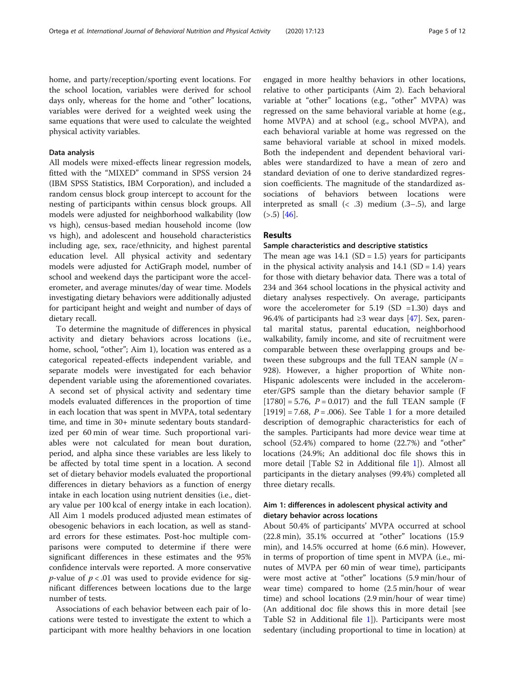home, and party/reception/sporting event locations. For the school location, variables were derived for school days only, whereas for the home and "other" locations, variables were derived for a weighted week using the same equations that were used to calculate the weighted physical activity variables.

# Data analysis

All models were mixed-effects linear regression models, fitted with the "MIXED" command in SPSS version 24 (IBM SPSS Statistics, IBM Corporation), and included a random census block group intercept to account for the nesting of participants within census block groups. All models were adjusted for neighborhood walkability (low vs high), census-based median household income (low vs high), and adolescent and household characteristics including age, sex, race/ethnicity, and highest parental education level. All physical activity and sedentary models were adjusted for ActiGraph model, number of school and weekend days the participant wore the accelerometer, and average minutes/day of wear time. Models investigating dietary behaviors were additionally adjusted for participant height and weight and number of days of dietary recall.

To determine the magnitude of differences in physical activity and dietary behaviors across locations (i.e., home, school, "other"; Aim 1), location was entered as a categorical repeated-effects independent variable, and separate models were investigated for each behavior dependent variable using the aforementioned covariates. A second set of physical activity and sedentary time models evaluated differences in the proportion of time in each location that was spent in MVPA, total sedentary time, and time in 30+ minute sedentary bouts standardized per 60 min of wear time. Such proportional variables were not calculated for mean bout duration, period, and alpha since these variables are less likely to be affected by total time spent in a location. A second set of dietary behavior models evaluated the proportional differences in dietary behaviors as a function of energy intake in each location using nutrient densities (i.e., dietary value per 100 kcal of energy intake in each location). All Aim 1 models produced adjusted mean estimates of obesogenic behaviors in each location, as well as standard errors for these estimates. Post-hoc multiple comparisons were computed to determine if there were significant differences in these estimates and the 95% confidence intervals were reported. A more conservative *p*-value of  $p < .01$  was used to provide evidence for significant differences between locations due to the large number of tests.

Associations of each behavior between each pair of locations were tested to investigate the extent to which a participant with more healthy behaviors in one location

engaged in more healthy behaviors in other locations, relative to other participants (Aim 2). Each behavioral variable at "other" locations (e.g., "other" MVPA) was regressed on the same behavioral variable at home (e.g., home MVPA) and at school (e.g., school MVPA), and each behavioral variable at home was regressed on the same behavioral variable at school in mixed models. Both the independent and dependent behavioral variables were standardized to have a mean of zero and standard deviation of one to derive standardized regression coefficients. The magnitude of the standardized associations of behaviors between locations were interpreted as small  $\left( < .3 \right)$  medium  $(.3-.5)$ , and large  $(> .5)$  [[46](#page-10-0)].

# Results

#### Sample characteristics and descriptive statistics

The mean age was  $14.1$  (SD = 1.5) years for participants in the physical activity analysis and  $14.1$  (SD = 1.4) years for those with dietary behavior data. There was a total of 234 and 364 school locations in the physical activity and dietary analyses respectively. On average, participants wore the accelerometer for 5.19 (SD =1.30) days and 96.4% of participants had ≥3 wear days [[47](#page-10-0)]. Sex, parental marital status, parental education, neighborhood walkability, family income, and site of recruitment were comparable between these overlapping groups and between these subgroups and the full TEAN sample  $(N =$ 928). However, a higher proportion of White non-Hispanic adolescents were included in the accelerometer/GPS sample than the dietary behavior sample (F  $[1780] = 5.76$ ,  $P = 0.017$ ) and the full TEAN sample (F  $[1919] = 7.68$  $[1919] = 7.68$  $[1919] = 7.68$ ,  $P = .006$ ). See Table 1 for a more detailed description of demographic characteristics for each of the samples. Participants had more device wear time at school (52.4%) compared to home (22.7%) and "other" locations (24.9%; An additional doc file shows this in more detail [Table S2 in Additional file [1](#page-9-0)]). Almost all participants in the dietary analyses (99.4%) completed all three dietary recalls.

# Aim 1: differences in adolescent physical activity and dietary behavior across locations

About 50.4% of participants' MVPA occurred at school (22.8 min), 35.1% occurred at "other" locations (15.9 min), and 14.5% occurred at home (6.6 min). However, in terms of proportion of time spent in MVPA (i.e., minutes of MVPA per 60 min of wear time), participants were most active at "other" locations (5.9 min/hour of wear time) compared to home (2.5 min/hour of wear time) and school locations (2.9 min/hour of wear time) (An additional doc file shows this in more detail [see Table S2 in Additional file [1\]](#page-9-0)). Participants were most sedentary (including proportional to time in location) at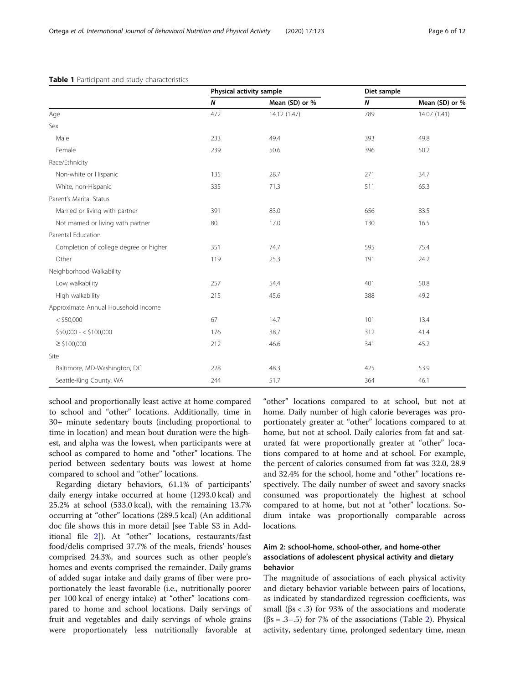|                                        | Physical activity sample |                | Diet sample |                |
|----------------------------------------|--------------------------|----------------|-------------|----------------|
|                                        | N                        | Mean (SD) or % | N           | Mean (SD) or % |
| Age                                    | 472                      | 14.12 (1.47)   | 789         | 14.07 (1.41)   |
| Sex                                    |                          |                |             |                |
| Male                                   | 233                      | 49.4           | 393         | 49.8           |
| Female                                 | 239                      | 50.6           | 396         | 50.2           |
| Race/Ethnicity                         |                          |                |             |                |
| Non-white or Hispanic                  | 135                      | 28.7           | 271         | 34.7           |
| White, non-Hispanic                    | 335                      | 71.3           | 511         | 65.3           |
| Parent's Marital Status                |                          |                |             |                |
| Married or living with partner         | 391                      | 83.0           | 656         | 83.5           |
| Not married or living with partner     | 80                       | 17.0           | 130         | 16.5           |
| Parental Education                     |                          |                |             |                |
| Completion of college degree or higher | 351                      | 74.7           | 595         | 75.4           |
| Other                                  | 119                      | 25.3           | 191         | 24.2           |
| Neighborhood Walkability               |                          |                |             |                |
| Low walkability                        | 257                      | 54.4           | 401         | 50.8           |
| High walkability                       | 215                      | 45.6           | 388         | 49.2           |
| Approximate Annual Household Income    |                          |                |             |                |
| $<$ \$50,000                           | 67                       | 14.7           | 101         | 13.4           |
| $$50,000 - $100,000$                   | 176                      | 38.7           | 312         | 41.4           |
| $\geq$ \$100,000                       | 212                      | 46.6           | 341         | 45.2           |
| Site                                   |                          |                |             |                |
| Baltimore, MD-Washington, DC           | 228                      | 48.3           | 425         | 53.9           |
| Seattle-King County, WA                | 244                      | 51.7           | 364         | 46.1           |

#### <span id="page-5-0"></span>Table 1 Participant and study characteristics

school and proportionally least active at home compared to school and "other" locations. Additionally, time in 30+ minute sedentary bouts (including proportional to time in location) and mean bout duration were the highest, and alpha was the lowest, when participants were at school as compared to home and "other" locations. The period between sedentary bouts was lowest at home compared to school and "other" locations.

Regarding dietary behaviors, 61.1% of participants' daily energy intake occurred at home (1293.0 kcal) and 25.2% at school (533.0 kcal), with the remaining 13.7% occurring at "other" locations (289.5 kcal) (An additional doc file shows this in more detail [see Table S3 in Additional file [2\]](#page-9-0)). At "other" locations, restaurants/fast food/delis comprised 37.7% of the meals, friends' houses comprised 24.3%, and sources such as other people's homes and events comprised the remainder. Daily grams of added sugar intake and daily grams of fiber were proportionately the least favorable (i.e., nutritionally poorer per 100 kcal of energy intake) at "other" locations compared to home and school locations. Daily servings of fruit and vegetables and daily servings of whole grains were proportionately less nutritionally favorable at

"other" locations compared to at school, but not at home. Daily number of high calorie beverages was proportionately greater at "other" locations compared to at home, but not at school. Daily calories from fat and saturated fat were proportionally greater at "other" locations compared to at home and at school. For example, the percent of calories consumed from fat was 32.0, 28.9 and 32.4% for the school, home and "other" locations respectively. The daily number of sweet and savory snacks consumed was proportionately the highest at school compared to at home, but not at "other" locations. Sodium intake was proportionally comparable across locations.

# Aim 2: school-home, school-other, and home-other associations of adolescent physical activity and dietary behavior

The magnitude of associations of each physical activity and dietary behavior variable between pairs of locations, as indicated by standardized regression coefficients, was small ( $\beta$ s < .3) for 93% of the associations and moderate  $(\beta s = .3 - .5)$  for 7% of the associations (Table [2\)](#page-6-0). Physical activity, sedentary time, prolonged sedentary time, mean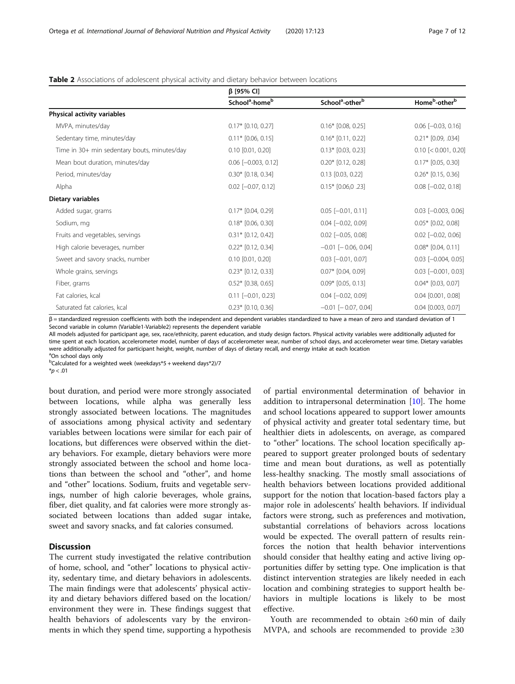#### <span id="page-6-0"></span>Table 2 Associations of adolescent physical activity and dietary behavior between locations

|                                              | $β$ [95% CI]                           |                                         |                                       |
|----------------------------------------------|----------------------------------------|-----------------------------------------|---------------------------------------|
|                                              | School <sup>a</sup> -home <sup>b</sup> | School <sup>a</sup> -other <sup>b</sup> | Home <sup>b</sup> -other <sup>b</sup> |
| Physical activity variables                  |                                        |                                         |                                       |
| MVPA, minutes/day                            | $0.17*$ [0.10, 0.27]                   | $0.16*$ [0.08, 0.25]                    | $0.06$ $[-0.03, 0.16]$                |
| Sedentary time, minutes/day                  | $0.11*$ [0.06, 0.15]                   | $0.16*$ [0.11, 0.22]                    | $0.21*$ [0.09, .034]                  |
| Time in 30+ min sedentary bouts, minutes/day | $0.10$ $[0.01, 0.20]$                  | $0.13*$ [0.03, 0.23]                    | $0.10$ [< 0.001, 0.20]                |
| Mean bout duration, minutes/day              | $0.06$ $[-0.003, 0.12]$                | $0.20*$ [0.12, 0.28]                    | $0.17*$ [0.05, 0.30]                  |
| Period, minutes/day                          | $0.30*$ [0.18, 0.34]                   | $0.13$ $[0.03, 0.22]$                   | $0.26*$ [0.15, 0.36]                  |
| Alpha                                        | $0.02$ [ $-0.07$ , $0.12$ ]            | $0.15*$ [0.06,0 .23]                    | $0.08$ $[-0.02, 0.18]$                |
| Dietary variables                            |                                        |                                         |                                       |
| Added sugar, grams                           | $0.17*$ $[0.04, 0.29]$                 | $0.05$ [ $-0.01$ , 0.11]                | $0.03$ $[-0.003, 0.06]$               |
| Sodium, mg                                   | $0.18*$ [0.06, 0.30]                   | $0.04$ $[-0.02, 0.09]$                  | $0.05*$ [0.02, 0.08]                  |
| Fruits and vegetables, servings              | $0.31*$ [0.12, 0.42]                   | $0.02$ $[-0.05, 0.08]$                  | $0.02$ [ $-0.02$ , 0.06]              |
| High calorie beverages, number               | $0.22*$ [0.12, 0.34]                   | $-0.01$ [ $-0.06, 0.04$ ]               | $0.08*$ [0.04, 0.11]                  |
| Sweet and savory snacks, number              | $0.10$ $[0.01, 0.20]$                  | $0.03$ $[-0.01, 0.07]$                  | $0.03$ $[-0.004, 0.05]$               |
| Whole grains, servings                       | $0.23*$ [0.12, 0.33]                   | $0.07*$ $[0.04, 0.09]$                  | $0.03$ $[-0.001, 0.03]$               |
| Fiber, grams                                 | $0.52*$ [0.38, 0.65]                   | $0.09*$ [0.05, 0.13]                    | $0.04*$ [0.03, 0.07]                  |
| Fat calories, kcal                           | $0.11$ $[-0.01, 0.23]$                 | $0.04$ $[-0.02, 0.09]$                  | $0.04$ $[0.001, 0.08]$                |
| Saturated fat calories, kcal                 | $0.23*$ [0.10, 0.36]                   | $-0.01$ [ $-0.07, 0.04$ ]               | $0.04$ $[0.003, 0.07]$                |

β = standardized regression coefficients with both the independent and dependent variables standardized to have a mean of zero and standard deviation of 1 Second variable in column (Variable1-Variable2) represents the dependent variable

All models adjusted for participant age, sex, race/ethnicity, parent education, and study design factors. Physical activity variables were additionally adjusted for time spent at each location, accelerometer model, number of days of accelerometer wear, number of school days, and accelerometer wear time. Dietary variables were additionally adjusted for participant height, weight, number of days of dietary recall, and energy intake at each location <sup>a</sup>On school days only

<sup>b</sup>Calculated for a weighted week (weekdays\*5 + weekend days\*2)/7

 $*p < .01$ 

bout duration, and period were more strongly associated between locations, while alpha was generally less strongly associated between locations. The magnitudes of associations among physical activity and sedentary variables between locations were similar for each pair of locations, but differences were observed within the dietary behaviors. For example, dietary behaviors were more strongly associated between the school and home locations than between the school and "other", and home and "other" locations. Sodium, fruits and vegetable servings, number of high calorie beverages, whole grains, fiber, diet quality, and fat calories were more strongly associated between locations than added sugar intake, sweet and savory snacks, and fat calories consumed.

# **Discussion**

The current study investigated the relative contribution of home, school, and "other" locations to physical activity, sedentary time, and dietary behaviors in adolescents. The main findings were that adolescents' physical activity and dietary behaviors differed based on the location/ environment they were in. These findings suggest that health behaviors of adolescents vary by the environments in which they spend time, supporting a hypothesis

of partial environmental determination of behavior in addition to intrapersonal determination  $[10]$  $[10]$  $[10]$ . The home and school locations appeared to support lower amounts of physical activity and greater total sedentary time, but healthier diets in adolescents, on average, as compared to "other" locations. The school location specifically appeared to support greater prolonged bouts of sedentary time and mean bout durations, as well as potentially less-healthy snacking. The mostly small associations of health behaviors between locations provided additional support for the notion that location-based factors play a major role in adolescents' health behaviors. If individual factors were strong, such as preferences and motivation, substantial correlations of behaviors across locations would be expected. The overall pattern of results reinforces the notion that health behavior interventions should consider that healthy eating and active living opportunities differ by setting type. One implication is that distinct intervention strategies are likely needed in each location and combining strategies to support health behaviors in multiple locations is likely to be most effective.

Youth are recommended to obtain ≥60 min of daily MVPA, and schools are recommended to provide ≥30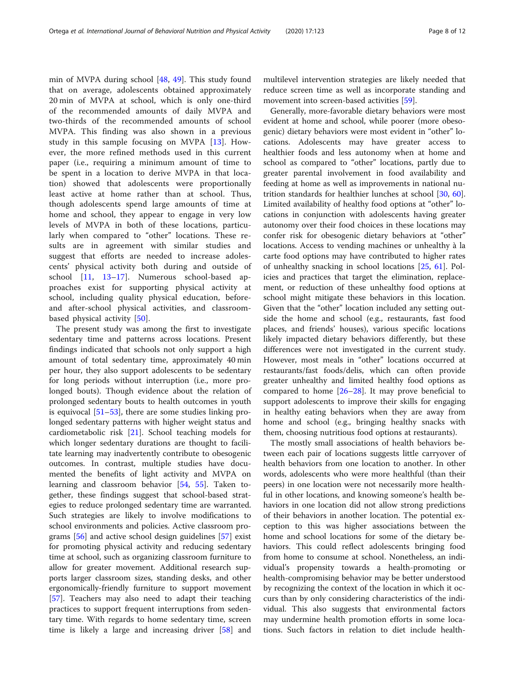min of MVPA during school [\[48](#page-10-0), [49\]](#page-10-0). This study found that on average, adolescents obtained approximately 20 min of MVPA at school, which is only one-third of the recommended amounts of daily MVPA and two-thirds of the recommended amounts of school MVPA. This finding was also shown in a previous study in this sample focusing on MVPA [\[13](#page-9-0)]. However, the more refined methods used in this current paper (i.e., requiring a minimum amount of time to be spent in a location to derive MVPA in that location) showed that adolescents were proportionally least active at home rather than at school. Thus, though adolescents spend large amounts of time at home and school, they appear to engage in very low levels of MVPA in both of these locations, particularly when compared to "other" locations. These results are in agreement with similar studies and suggest that efforts are needed to increase adolescents' physical activity both during and outside of school [[11,](#page-9-0) [13](#page-9-0)–[17\]](#page-10-0). Numerous school-based approaches exist for supporting physical activity at school, including quality physical education, beforeand after-school physical activities, and classroombased physical activity [\[50](#page-10-0)].

The present study was among the first to investigate sedentary time and patterns across locations. Present findings indicated that schools not only support a high amount of total sedentary time, approximately 40 min per hour, they also support adolescents to be sedentary for long periods without interruption (i.e., more prolonged bouts). Though evidence about the relation of prolonged sedentary bouts to health outcomes in youth is equivocal [\[51](#page-10-0)–[53\]](#page-10-0), there are some studies linking prolonged sedentary patterns with higher weight status and cardiometabolic risk [[21\]](#page-10-0). School teaching models for which longer sedentary durations are thought to facilitate learning may inadvertently contribute to obesogenic outcomes. In contrast, multiple studies have documented the benefits of light activity and MVPA on learning and classroom behavior [[54,](#page-10-0) [55\]](#page-10-0). Taken together, these findings suggest that school-based strategies to reduce prolonged sedentary time are warranted. Such strategies are likely to involve modifications to school environments and policies. Active classroom programs [[56\]](#page-10-0) and active school design guidelines [[57](#page-10-0)] exist for promoting physical activity and reducing sedentary time at school, such as organizing classroom furniture to allow for greater movement. Additional research supports larger classroom sizes, standing desks, and other ergonomically-friendly furniture to support movement [[57\]](#page-10-0). Teachers may also need to adapt their teaching practices to support frequent interruptions from sedentary time. With regards to home sedentary time, screen time is likely a large and increasing driver [[58\]](#page-10-0) and

multilevel intervention strategies are likely needed that reduce screen time as well as incorporate standing and movement into screen-based activities [\[59](#page-10-0)].

Generally, more-favorable dietary behaviors were most evident at home and school, while poorer (more obesogenic) dietary behaviors were most evident in "other" locations. Adolescents may have greater access to healthier foods and less autonomy when at home and school as compared to "other" locations, partly due to greater parental involvement in food availability and feeding at home as well as improvements in national nutrition standards for healthier lunches at school [\[30](#page-10-0), [60](#page-11-0)]. Limited availability of healthy food options at "other" locations in conjunction with adolescents having greater autonomy over their food choices in these locations may confer risk for obesogenic dietary behaviors at "other" locations. Access to vending machines or unhealthy à la carte food options may have contributed to higher rates of unhealthy snacking in school locations [[25](#page-10-0), [61](#page-11-0)]. Policies and practices that target the elimination, replacement, or reduction of these unhealthy food options at school might mitigate these behaviors in this location. Given that the "other" location included any setting outside the home and school (e.g., restaurants, fast food places, and friends' houses), various specific locations likely impacted dietary behaviors differently, but these differences were not investigated in the current study. However, most meals in "other" locations occurred at restaurants/fast foods/delis, which can often provide greater unhealthy and limited healthy food options as compared to home  $[26-28]$  $[26-28]$  $[26-28]$  $[26-28]$  $[26-28]$ . It may prove beneficial to support adolescents to improve their skills for engaging in healthy eating behaviors when they are away from home and school (e.g., bringing healthy snacks with them, choosing nutritious food options at restaurants).

The mostly small associations of health behaviors between each pair of locations suggests little carryover of health behaviors from one location to another. In other words, adolescents who were more healthful (than their peers) in one location were not necessarily more healthful in other locations, and knowing someone's health behaviors in one location did not allow strong predictions of their behaviors in another location. The potential exception to this was higher associations between the home and school locations for some of the dietary behaviors. This could reflect adolescents bringing food from home to consume at school. Nonetheless, an individual's propensity towards a health-promoting or health-compromising behavior may be better understood by recognizing the context of the location in which it occurs than by only considering characteristics of the individual. This also suggests that environmental factors may undermine health promotion efforts in some locations. Such factors in relation to diet include health-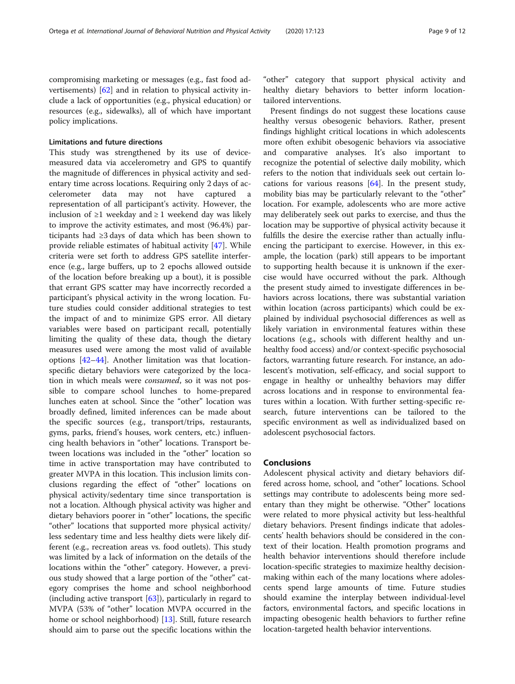compromising marketing or messages (e.g., fast food advertisements) [[62\]](#page-11-0) and in relation to physical activity include a lack of opportunities (e.g., physical education) or resources (e.g., sidewalks), all of which have important policy implications.

## Limitations and future directions

This study was strengthened by its use of devicemeasured data via accelerometry and GPS to quantify the magnitude of differences in physical activity and sedentary time across locations. Requiring only 2 days of accelerometer data may not have captured a representation of all participant's activity. However, the inclusion of ≥1 weekday and ≥ 1 weekend day was likely to improve the activity estimates, and most (96.4%) participants had ≥3 days of data which has been shown to provide reliable estimates of habitual activity [\[47](#page-10-0)]. While criteria were set forth to address GPS satellite interference (e.g., large buffers, up to 2 epochs allowed outside of the location before breaking up a bout), it is possible that errant GPS scatter may have incorrectly recorded a participant's physical activity in the wrong location. Future studies could consider additional strategies to test the impact of and to minimize GPS error. All dietary variables were based on participant recall, potentially limiting the quality of these data, though the dietary measures used were among the most valid of available options [[42](#page-10-0)–[44\]](#page-10-0). Another limitation was that locationspecific dietary behaviors were categorized by the location in which meals were consumed, so it was not possible to compare school lunches to home-prepared lunches eaten at school. Since the "other" location was broadly defined, limited inferences can be made about the specific sources (e.g., transport/trips, restaurants, gyms, parks, friend's houses, work centers, etc.) influencing health behaviors in "other" locations. Transport between locations was included in the "other" location so time in active transportation may have contributed to greater MVPA in this location. This inclusion limits conclusions regarding the effect of "other" locations on physical activity/sedentary time since transportation is not a location. Although physical activity was higher and dietary behaviors poorer in "other" locations, the specific "other" locations that supported more physical activity/ less sedentary time and less healthy diets were likely different (e.g., recreation areas vs. food outlets). This study was limited by a lack of information on the details of the locations within the "other" category. However, a previous study showed that a large portion of the "other" category comprises the home and school neighborhood (including active transport  $[63]$  $[63]$ ), particularly in regard to MVPA (53% of "other" location MVPA occurred in the home or school neighborhood) [[13\]](#page-9-0). Still, future research should aim to parse out the specific locations within the

"other" category that support physical activity and healthy dietary behaviors to better inform locationtailored interventions.

Present findings do not suggest these locations cause healthy versus obesogenic behaviors. Rather, present findings highlight critical locations in which adolescents more often exhibit obesogenic behaviors via associative and comparative analyses. It's also important to recognize the potential of selective daily mobility, which refers to the notion that individuals seek out certain locations for various reasons  $[64]$ . In the present study, mobility bias may be particularly relevant to the "other" location. For example, adolescents who are more active may deliberately seek out parks to exercise, and thus the location may be supportive of physical activity because it fulfills the desire the exercise rather than actually influencing the participant to exercise. However, in this example, the location (park) still appears to be important to supporting health because it is unknown if the exercise would have occurred without the park. Although the present study aimed to investigate differences in behaviors across locations, there was substantial variation within location (across participants) which could be explained by individual psychosocial differences as well as likely variation in environmental features within these locations (e.g., schools with different healthy and unhealthy food access) and/or context-specific psychosocial factors, warranting future research. For instance, an adolescent's motivation, self-efficacy, and social support to engage in healthy or unhealthy behaviors may differ across locations and in response to environmental features within a location. With further setting-specific research, future interventions can be tailored to the specific environment as well as individualized based on adolescent psychosocial factors.

# Conclusions

Adolescent physical activity and dietary behaviors differed across home, school, and "other" locations. School settings may contribute to adolescents being more sedentary than they might be otherwise. "Other" locations were related to more physical activity but less-healthful dietary behaviors. Present findings indicate that adolescents' health behaviors should be considered in the context of their location. Health promotion programs and health behavior interventions should therefore include location-specific strategies to maximize healthy decisionmaking within each of the many locations where adolescents spend large amounts of time. Future studies should examine the interplay between individual-level factors, environmental factors, and specific locations in impacting obesogenic health behaviors to further refine location-targeted health behavior interventions.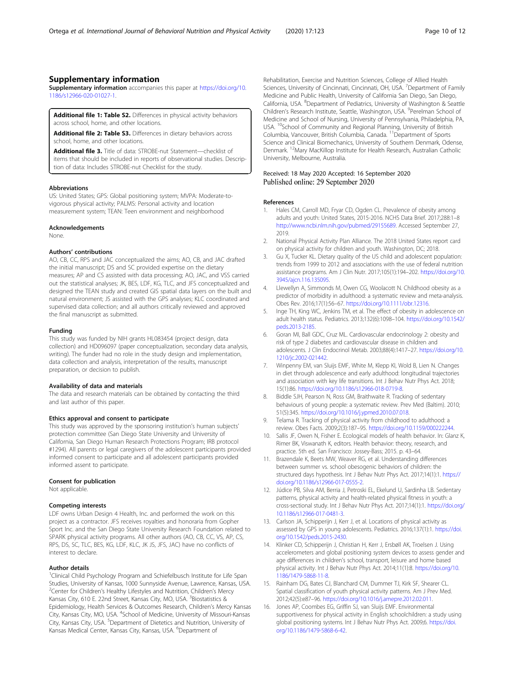# <span id="page-9-0"></span>Supplementary information

Supplementary information accompanies this paper at [https://doi.org/10.](https://doi.org/10.1186/s12966-020-01027-1) [1186/s12966-020-01027-1](https://doi.org/10.1186/s12966-020-01027-1).

Additional file 1: Table S2. Differences in physical activity behaviors across school, home, and other locations.

Additional file 2: Table S3. Differences in dietary behaviors across school, home, and other locations.

Additional file 3. Title of data: STROBE-nut Statement-checklist of items that should be included in reports of observational studies. Description of data: Includes STROBE-nut Checklist for the study.

#### Abbreviations

US: United States; GPS: Global positioning system; MVPA: Moderate-tovigorous physical activity; PALMS: Personal activity and location measurement system; TEAN: Teen environment and neighborhood

#### Acknowledgements

None.

# Authors' contributions

AO, CB, CC, RPS and JAC conceptualized the aims; AO, CB, and JAC drafted the initial manuscript; DS and SC provided expertise on the dietary measures; AP and CS assisted with data processing; AO, JAC, and VSS carried out the statistical analyses; JK, BES, LDF, KG, TLC, and JFS conceptualized and designed the TEAN study and created GIS spatial data layers on the built and natural environment; JS assisted with the GPS analyses; KLC coordinated and supervised data collection; and all authors critically reviewed and approved the final manuscript as submitted.

#### Funding

This study was funded by NIH grants HL083454 (project design, data collection) and HD096097 (paper conceptualization, secondary data analysis, writing). The funder had no role in the study design and implementation, data collection and analysis, interpretation of the results, manuscript preparation, or decision to publish.

#### Availability of data and materials

The data and research materials can be obtained by contacting the third and last author of this paper.

#### Ethics approval and consent to participate

This study was approved by the sponsoring institution's human subjects' protection committee (San Diego State University and University of California, San Diego Human Research Protections Program; IRB protocol #1294). All parents or legal caregivers of the adolescent participants provided informed consent to participate and all adolescent participants provided informed assent to participate.

#### Consent for publication

Not applicable.

#### Competing interests

LDF owns Urban Design 4 Health, Inc. and performed the work on this project as a contractor. JFS receives royalties and honoraria from Gopher Sport Inc. and the San Diego State University Research Foundation related to SPARK physical activity programs. All other authors (AO, CB, CC, VS, AP, CS, RPS, DS, SC, TLC, BES, KG, LDF, KLC, JK JS, JFS, JAC) have no conflicts of interest to declare.

# Author details

<sup>1</sup>Clinical Child Psychology Program and Schiefelbusch Institute for Life Span Studies, University of Kansas, 1000 Sunnyside Avenue, Lawrence, Kansas, USA. <sup>2</sup> Center for Children's Healthy Lifestyles and Nutrition, Children's Mercy Kansas City, 610 E. 22nd Street, Kansas City, MO, USA. <sup>3</sup>Biostatistics & Epidemiology, Health Services & Outcomes Research, Children's Mercy Kansas City, Kansas City, MO, USA. <sup>4</sup> School of Medicine, University of Missouri-Kansas City, Kansas City, USA. <sup>5</sup>Department of Dietetics and Nutrition, University of Kansas Medical Center, Kansas City, Kansas, USA. <sup>6</sup>Department of

Rehabilitation, Exercise and Nutrition Sciences, College of Allied Health Sciences, University of Cincinnati, Cincinnati, OH, USA. <sup>7</sup>Department of Family Medicine and Public Health, University of California San Diego, San Diego, California, USA. <sup>8</sup>Department of Pediatrics, University of Washington & Seattle Children's Research Institute, Seattle, Washington, USA. <sup>9</sup>Perelman School of Medicine and School of Nursing, University of Pennsylvania, Philadelphia, PA, USA. <sup>10</sup>School of Community and Regional Planning, University of British Columbia, Vancouver, British Columbia, Canada. 11Department of Sports Science and Clinical Biomechanics, University of Southern Denmark, Odense, Denmark. 12Mary MacKillop Institute for Health Research, Australian Catholic University, Melbourne, Australia.

#### Received: 18 May 2020 Accepted: 16 September 2020 Published online: 29 September 2020

#### References

- 1. Hales CM, Carroll MD, Fryar CD, Ogden CL. Prevalence of obesity among adults and youth: United States, 2015-2016. NCHS Data Brief. 2017;288:1–8 [http://www.ncbi.nlm.nih.gov/pubmed/29155689.](http://www.ncbi.nlm.nih.gov/pubmed/29155689) Accessed September 27, 2019.
- 2. National Physical Activity Plan Alliance. The 2018 United States report card on physical activity for children and youth. Washington, DC; 2018.
- 3. Gu X, Tucker KL. Dietary quality of the US child and adolescent population: trends from 1999 to 2012 and associations with the use of federal nutrition assistance programs. Am J Clin Nutr. 2017;105(1):194–202. [https://doi.org/10.](https://doi.org/10.3945/ajcn.116.135095) [3945/ajcn.116.135095](https://doi.org/10.3945/ajcn.116.135095).
- 4. Llewellyn A, Simmonds M, Owen CG, Woolacott N. Childhood obesity as a predictor of morbidity in adulthood: a systematic review and meta-analysis. Obes Rev. 2016;17(1):56–67. [https://doi.org/10.1111/obr.12316.](https://doi.org/10.1111/obr.12316)
- 5. Inge TH, King WC, Jenkins TM, et al. The effect of obesity in adolescence on adult health status. Pediatrics. 2013;132(6):1098–104. [https://doi.org/10.1542/](https://doi.org/10.1542/peds.2013-2185) [peds.2013-2185](https://doi.org/10.1542/peds.2013-2185).
- 6. Goran MI, Ball GDC, Cruz ML. Cardiovascular endocrinology 2: obesity and risk of type 2 diabetes and cardiovascular disease in children and adolescents. J Clin Endocrinol Metab. 2003;88(4):1417–27. [https://doi.org/10.](https://doi.org/10.1210/jc.2002-021442) [1210/jc.2002-021442.](https://doi.org/10.1210/jc.2002-021442)
- 7. Winpenny EM, van Sluijs EMF, White M, Klepp KI, Wold B, Lien N. Changes in diet through adolescence and early adulthood: longitudinal trajectories and association with key life transitions. Int J Behav Nutr Phys Act. 2018; 15(1):86. <https://doi.org/10.1186/s12966-018-0719-8>.
- 8. Biddle SJH, Pearson N, Ross GM, Braithwaite R. Tracking of sedentary behaviours of young people: a systematic review. Prev Med (Baltim). 2010; 51(5):345. [https://doi.org/10.1016/j.ypmed.2010.07.018.](https://doi.org/10.1016/j.ypmed.2010.07.018)
- 9. Telama R. Tracking of physical activity from childhood to adulthood: a review. Obes Facts. 2009;2(3):187–95. [https://doi.org/10.1159/000222244.](https://doi.org/10.1159/000222244)
- 10. Sallis JF, Owen N, Fisher E. Ecological models of health behavior. In: Glanz K, Rimer BK, Viswanath K, editors. Health behavior: theory, research, and practice. 5th ed. San Francisco: Jossey-Bass; 2015. p. 43–64.
- 11. Brazendale K, Beets MW, Weaver RG, et al. Understanding differences between summer vs. school obesogenic behaviors of children: the structured days hypothesis. Int J Behav Nutr Phys Act. 2017;14(1):1. [https://](https://doi.org/10.1186/s12966-017-0555-2) [doi.org/10.1186/s12966-017-0555-2.](https://doi.org/10.1186/s12966-017-0555-2)
- 12. Júdice PB, Silva AM, Berria J, Petroski EL, Ekelund U, Sardinha LB. Sedentary patterns, physical activity and health-related physical fitness in youth: a cross-sectional study. Int J Behav Nutr Phys Act. 2017;14(1):1. [https://doi.org/](https://doi.org/10.1186/s12966-017-0481-3) [10.1186/s12966-017-0481-3](https://doi.org/10.1186/s12966-017-0481-3).
- 13. Carlson JA, Schipperijn J, Kerr J, et al. Locations of physical activity as assessed by GPS in young adolescents. Pediatrics. 2016;137(1):1. [https://doi.](https://doi.org/10.1542/peds.2015-2430) [org/10.1542/peds.2015-2430](https://doi.org/10.1542/peds.2015-2430).
- 14. Klinker CD, Schipperijn J, Christian H, Kerr J, Ersbøll AK, Troelsen J. Using accelerometers and global positioning system devices to assess gender and age differences in children's school, transport, leisure and home based physical activity. Int J Behav Nutr Phys Act. 2014;11(1):8. [https://doi.org/10.](https://doi.org/10.1186/1479-5868-11-8) [1186/1479-5868-11-8.](https://doi.org/10.1186/1479-5868-11-8)
- 15. Rainham DG, Bates CJ, Blanchard CM, Dummer TJ, Kirk SF, Shearer CL. Spatial classification of youth physical activity patterns. Am J Prev Med. 2012;42(5):e87–96. [https://doi.org/10.1016/j.amepre.2012.02.011.](https://doi.org/10.1016/j.amepre.2012.02.011)
- 16. Jones AP, Coombes EG, Griffin SJ, van Sluijs EMF. Environmental supportiveness for physical activity in English schoolchildren: a study using global positioning systems. Int J Behav Nutr Phys Act. 2009;6. [https://doi.](https://doi.org/10.1186/1479-5868-6-42) [org/10.1186/1479-5868-6-42.](https://doi.org/10.1186/1479-5868-6-42)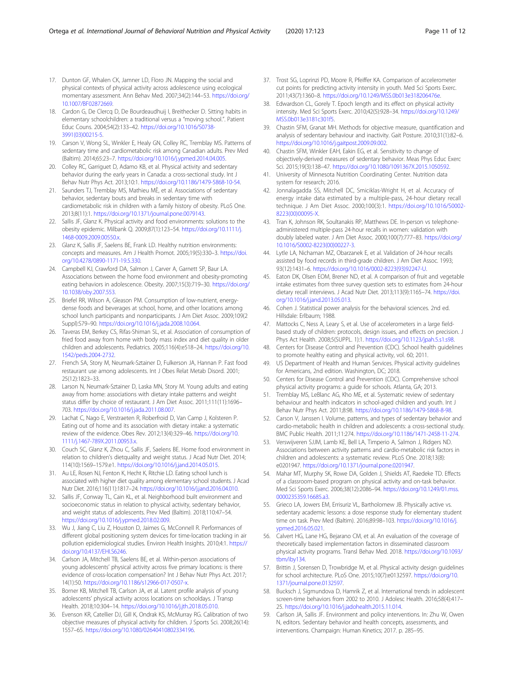- <span id="page-10-0"></span>17. Dunton GF, Whalen CK, Jamner LD, Floro JN. Mapping the social and physical contexts of physical activity across adolescence using ecological momentary assessment. Ann Behav Med. 2007;34(2):144–53. [https://doi.org/](https://doi.org/10.1007/BF02872669) [10.1007/BF02872669.](https://doi.org/10.1007/BF02872669)
- 18. Cardon G, De Clercq D, De Bourdeaudhuij I, Breithecker D. Sitting habits in elementary schoolchildren: a traditional versus a "moving school.". Patient Educ Couns. 2004;54(2):133–42. [https://doi.org/10.1016/S0738-](https://doi.org/10.1016/S0738-3991(03)00215-5) [3991\(03\)00215-5](https://doi.org/10.1016/S0738-3991(03)00215-5).
- 19. Carson V, Wong SL, Winkler E, Healy GN, Colley RC, Tremblay MS. Patterns of sedentary time and cardiometabolic risk among Canadian adults. Prev Med (Baltim). 2014;65:23–7. [https://doi.org/10.1016/j.ypmed.2014.04.005.](https://doi.org/10.1016/j.ypmed.2014.04.005)
- 20. Colley RC, Garriguet D, Adamo KB, et al. Physical activity and sedentary behavior during the early years in Canada: a cross-sectional study. Int J Behav Nutr Phys Act. 2013;10:1. [https://doi.org/10.1186/1479-5868-10-54.](https://doi.org/10.1186/1479-5868-10-54)
- 21. Saunders TJ, Tremblay MS, Mathieu MÈ, et al. Associations of sedentary behavior, sedentary bouts and breaks in sedentary time with cardiometabolic risk in children with a family history of obesity. PLoS One. 2013;8(11):1. <https://doi.org/10.1371/journal.pone.0079143>.
- 22. Sallis JF, Glanz K. Physical activity and food environments: solutions to the obesity epidemic. Milbank Q. 2009;87(1):123–54. [https://doi.org/10.1111/j.](https://doi.org/10.1111/j.1468-0009.2009.00550.x) [1468-0009.2009.00550.x](https://doi.org/10.1111/j.1468-0009.2009.00550.x).
- 23. Glanz K, Sallis JF, Saelens BE, Frank LD. Healthy nutrition environments: concepts and measures. Am J Health Promot. 2005;19(5):330–3. [https://doi.](https://doi.org/10.4278/0890-1171-19.5.330) [org/10.4278/0890-1171-19.5.330](https://doi.org/10.4278/0890-1171-19.5.330).
- 24. Campbell KJ, Crawford DA, Salmon J, Carver A, Garnett SP, Baur LA. Associations between the home food environment and obesity-promoting eating behaviors in adolescence. Obesity. 2007;15(3):719–30. [https://doi.org/](https://doi.org/10.1038/oby.2007.553) [10.1038/oby.2007.553.](https://doi.org/10.1038/oby.2007.553)
- 25. Briefel RR, Wilson A, Gleason PM. Consumption of low-nutrient, energydense foods and beverages at school, home, and other locations among school lunch participants and nonparticipants. J Am Diet Assoc. 2009;109(2 Suppl):S79–90. [https://doi.org/10.1016/j.jada.2008.10.064.](https://doi.org/10.1016/j.jada.2008.10.064)
- 26. Taveras EM, Berkey CS, Rifas-Shiman SL, et al. Association of consumption of fried food away from home with body mass index and diet quality in older children and adolescents. Pediatrics. 2005;116(4):e518–24. [https://doi.org/10.](https://doi.org/10.1542/peds.2004-2732) [1542/peds.2004-2732](https://doi.org/10.1542/peds.2004-2732).
- 27. French SA, Story M, Neumark-Sztainer D, Fulkerson JA, Hannan P. Fast food restaurant use among adolescents. Int J Obes Relat Metab Disord. 2001; 25(12):1823–33.
- 28. Larson N, Neumark-Sztainer D, Laska MN, Story M. Young adults and eating away from home: associations with dietary intake patterns and weight status differ by choice of restaurant. J Am Diet Assoc. 2011;111(11):1696– 703. <https://doi.org/10.1016/j.jada.2011.08.007>.
- 29. Lachat C, Nago E, Verstraeten R, Roberfroid D, Van Camp J, Kolsteren P. Eating out of home and its association with dietary intake: a systematic review of the evidence. Obes Rev. 2012;13(4):329–46. [https://doi.org/10.](https://doi.org/10.1111/j.1467-789X.2011.00953.x) [1111/j.1467-789X.2011.00953.x.](https://doi.org/10.1111/j.1467-789X.2011.00953.x)
- 30. Couch SC, Glanz K, Zhou C, Sallis JF, Saelens BE. Home food environment in relation to children's dietquality and weight status. J Acad Nutr Diet. 2014; 114(10):1569–1579.e1. <https://doi.org/10.1016/j.jand.2014.05.015>.
- 31. Au LE, Rosen NJ, Fenton K, Hecht K, Ritchie LD. Eating school lunch is associated with higher diet quality among elementary school students. J Acad Nutr Diet. 2016;116(11):1817–24. [https://doi.org/10.1016/j.jand.2016.04.010.](https://doi.org/10.1016/j.jand.2016.04.010)
- 32. Sallis JF, Conway TL, Cain KL, et al. Neighborhood built environment and socioeconomic status in relation to physical activity, sedentary behavior, and weight status of adolescents. Prev Med (Baltim). 2018;110:47–54. [https://doi.org/10.1016/j.ypmed.2018.02.009.](https://doi.org/10.1016/j.ypmed.2018.02.009)
- 33. Wu J, Jiang C, Liu Z, Houston D, Jaimes G, McConnell R. Performances of different global positioning system devices for time-location tracking in air pollution epidemiological studies. Environ Health Insights. 2010;4:1. [https://](https://doi.org/10.4137/EHI.S6246) [doi.org/10.4137/EHI.S6246.](https://doi.org/10.4137/EHI.S6246)
- 34. Carlson JA, Mitchell TB, Saelens BE, et al. Within-person associations of young adolescents' physical activity across five primary locations: is there evidence of cross-location compensation? Int J Behav Nutr Phys Act. 2017; 14(1):50. <https://doi.org/10.1186/s12966-017-0507-x>.
- 35. Borner KB, Mitchell TB, Carlson JA, et al. Latent profile analysis of young adolescents' physical activity across locations on schooldays. J Transp Health. 2018;10:304–14. [https://doi.org/10.1016/j.jth.2018.05.010.](https://doi.org/10.1016/j.jth.2018.05.010)
- 36. Evenson KR, Catellier DJ, Gill K, Ondrak KS, McMurray RG. Calibration of two objective measures of physical activity for children. J Sports Sci. 2008;26(14): 1557–65. <https://doi.org/10.1080/02640410802334196>.
- 37. Trost SG, Loprinzi PD, Moore R, Pfeiffer KA. Comparison of accelerometer cut points for predicting activity intensity in youth. Med Sci Sports Exerc. 2011;43(7):1360–8. <https://doi.org/10.1249/MSS.0b013e318206476e>.
- 38. Edwardson CL, Gorely T. Epoch length and its effect on physical activity intensity. Med Sci Sports Exerc. 2010;42(5):928–34. [https://doi.org/10.1249/](https://doi.org/10.1249/MSS.0b013e3181c301f5) [MSS.0b013e3181c301f5](https://doi.org/10.1249/MSS.0b013e3181c301f5).
- Chastin SFM, Granat MH. Methods for objective measure, quantification and analysis of sedentary behaviour and inactivity. Gait Posture. 2010;31(1):82–6. [https://doi.org/10.1016/j.gaitpost.2009.09.002.](https://doi.org/10.1016/j.gaitpost.2009.09.002)
- 40. Chastin SFM, Winkler EAH, Eakin EG, et al. Sensitivity to change of objectively-derived measures of sedentary behavior. Meas Phys Educ Exerc Sci. 2015;19(3):138–47. [https://doi.org/10.1080/1091367X.2015.1050592.](https://doi.org/10.1080/1091367X.2015.1050592)
- 41. University of Minnesota Nutrition Coordinating Center. Nutrition data system for research; 2016.
- 42. Jonnalagadda SS, Mitchell DC, Smiciklas-Wright H, et al. Accuracy of energy intake data estimated by a multiple-pass, 24-hour dietary recall technique. J Am Diet Assoc. 2000;100(3):1. [https://doi.org/10.1016/S0002-](https://doi.org/10.1016/S0002-8223(00)00095-X) [8223\(00\)00095-X](https://doi.org/10.1016/S0002-8223(00)00095-X).
- 43. Tran K, Johnson RK, Soultanakis RP, Matthews DE. In-person vs telephoneadministered multiple-pass 24-hour recalls in women: validation with doubly labeled water. J Am Diet Assoc. 2000;100(7):777–83. [https://doi.org/](https://doi.org/10.1016/S0002-8223(00)00227-3) [10.1016/S0002-8223\(00\)00227-3.](https://doi.org/10.1016/S0002-8223(00)00227-3)
- 44. Lytle LA, Nichaman MZ, Obarzanek E, et al. Validation of 24-hour recalls assisted by food records in third-grade children. J Am Diet Assoc. 1993; 93(12):1431–6. [https://doi.org/10.1016/0002-8223\(93\)92247-U.](https://doi.org/10.1016/0002-8223(93)92247-U)
- 45. Eaton DK, Olsen EOM, Brener ND, et al. A comparison of fruit and vegetable intake estimates from three survey question sets to estimates from 24-hour dietary recall interviews. J Acad Nutr Diet. 2013;113(9):1165–74. [https://doi.](https://doi.org/10.1016/j.jand.2013.05.013) [org/10.1016/j.jand.2013.05.013](https://doi.org/10.1016/j.jand.2013.05.013).
- 46. Cohen J. Statistical power analysis for the behavioral sciences. 2nd ed. Hillsdale: Erlbaum; 1988.
- 47. Mattocks C, Ness A, Leary S, et al. Use of accelerometers in a large fieldbased study of children: protocols, design issues, and effects on precision. J Phys Act Health. 2008;5(SUPPL. 1):1. [https://doi.org/10.1123/jpah.5.s1.s98.](https://doi.org/10.1123/jpah.5.s1.s98)
- 48. Centers for Disease Control and Prevention (CDC). School health guidelines to promote healthy eating and physical activity, vol. 60; 2011.
- 49. US Department of Health and Human Services. Physical activity guidelines for Americans, 2nd edition. Washington, DC; 2018.
- 50. Centers for Disease Control and Prevention (CDC). Comprehensive school physical activity programs: a guide for schools. Atlanta, GA; 2013.
- 51. Tremblay MS, LeBlanc AG, Kho ME, et al. Systematic review of sedentary behaviour and health indicators in school-aged children and youth. Int J Behav Nutr Phys Act. 2011;8:98. <https://doi.org/10.1186/1479-5868-8-98>.
- 52. Carson V, Janssen I. Volume, patterns, and types of sedentary behavior and cardio-metabolic health in children and adolescents: a cross-sectional study. BMC Public Health. 2011;11:274. <https://doi.org/10.1186/1471-2458-11-274>.
- 53. Verswijveren SJJM, Lamb KE, Bell LA, Timperio A, Salmon J, Ridgers ND. Associations between activity patterns and cardio-metabolic risk factors in children and adolescents: a systematic review. PLoS One. 2018;13(8): e0201947. <https://doi.org/10.1371/journal.pone.0201947>.
- 54. Mahar MT, Murphy SK, Rowe DA, Golden J, Shields AT, Raedeke TD. Effects of a classroom-based program on physical activity and on-task behavior. Med Sci Sports Exerc. 2006;38(12):2086–94. [https://doi.org/10.1249/01.mss.](https://doi.org/10.1249/01.mss.0000235359.16685.a3) [0000235359.16685.a3.](https://doi.org/10.1249/01.mss.0000235359.16685.a3)
- 55. Grieco LA, Jowers EM, Errisuriz VL, Bartholomew JB. Physically active vs. sedentary academic lessons: a dose response study for elementary student time on task. Prev Med (Baltim). 2016;89:98–103. [https://doi.org/10.1016/j.](https://doi.org/10.1016/j.ypmed.2016.05.021) [ypmed.2016.05.021](https://doi.org/10.1016/j.ypmed.2016.05.021).
- 56. Calvert HG, Lane HG, Bejarano CM, et al. An evaluation of the coverage of theoretically based implementation factors in disseminated classroom physical activity programs. Transl Behav Med. 2018. [https://doi.org/10.1093/](https://doi.org/10.1093/tbm/iby134) [tbm/iby134.](https://doi.org/10.1093/tbm/iby134)
- 57. Brittin J, Sorensen D, Trowbridge M, et al. Physical activity design guidelines for school architecture. PLoS One. 2015;10(7):e0132597. [https://doi.org/10.](https://doi.org/10.1371/journal.pone.0132597) [1371/journal.pone.0132597](https://doi.org/10.1371/journal.pone.0132597).
- 58. Bucksch J, Sigmundova D, Hamrik Z, et al. International trends in adolescent screen-time behaviors from 2002 to 2010. J Adolesc Health. 2016;58(4):417– 25. <https://doi.org/10.1016/j.jadohealth.2015.11.014>.
- 59. Carlson JA, Sallis JF. Environment and policy interventions. In: Zhu W, Owen N, editors. Sedentary behavior and health concepts, assessments, and interventions. Champaign: Human Kinetics; 2017. p. 285–95.